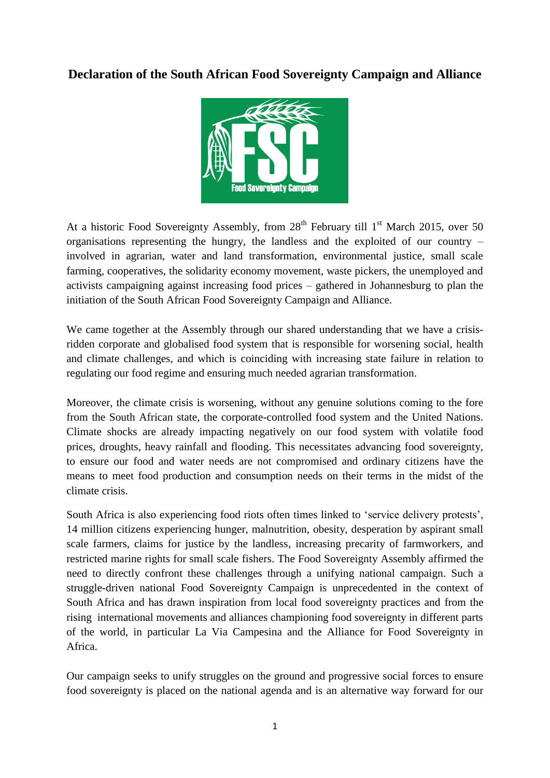# **Declaration of the South African Food Sovereignty Campaign and Alliance**



At a historic Food Sovereignty Assembly, from  $28<sup>th</sup>$  February till  $1<sup>st</sup>$  March 2015, over 50 organisations representing the hungry, the landless and the exploited of our country – involved in agrarian, water and land transformation, environmental justice, small scale farming, cooperatives, the solidarity economy movement, waste pickers, the unemployed and activists campaigning against increasing food prices – gathered in Johannesburg to plan the initiation of the South African Food Sovereignty Campaign and Alliance.

We came together at the Assembly through our shared understanding that we have a crisisridden corporate and globalised food system that is responsible for worsening social, health and climate challenges, and which is coinciding with increasing state failure in relation to regulating our food regime and ensuring much needed agrarian transformation.

Moreover, the climate crisis is worsening, without any genuine solutions coming to the fore from the South African state, the corporate-controlled food system and the United Nations. Climate shocks are already impacting negatively on our food system with volatile food prices, droughts, heavy rainfall and flooding. This necessitates advancing food sovereignty, to ensure our food and water needs are not compromised and ordinary citizens have the means to meet food production and consumption needs on their terms in the midst of the climate crisis.

South Africa is also experiencing food riots often times linked to 'service delivery protests', 14 million citizens experiencing hunger, malnutrition, obesity, desperation by aspirant small scale farmers, claims for justice by the landless, increasing precarity of farmworkers, and restricted marine rights for small scale fishers. The Food Sovereignty Assembly affirmed the need to directly confront these challenges through a unifying national campaign. Such a struggle-driven national Food Sovereignty Campaign is unprecedented in the context of South Africa and has drawn inspiration from local food sovereignty practices and from the rising international movements and alliances championing food sovereignty in different parts of the world, in particular La Via Campesina and the Alliance for Food Sovereignty in Africa.

Our campaign seeks to unify struggles on the ground and progressive social forces to ensure food sovereignty is placed on the national agenda and is an alternative way forward for our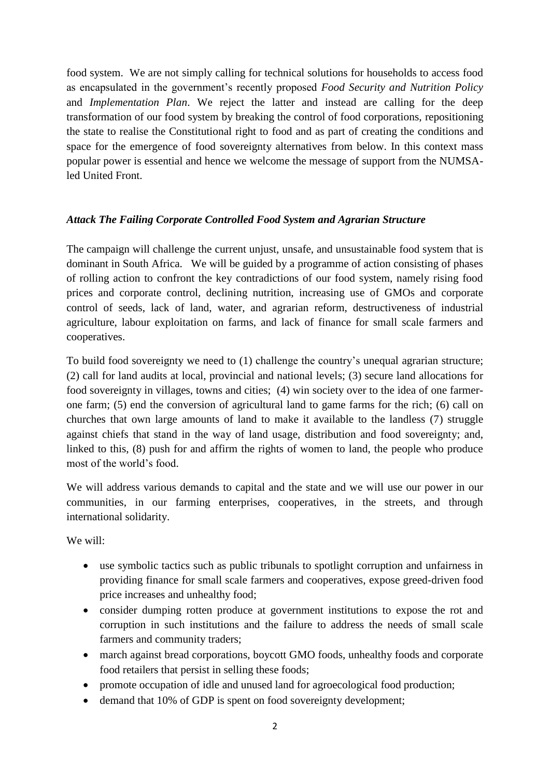food system. We are not simply calling for technical solutions for households to access food as encapsulated in the government's recently proposed *Food Security and Nutrition Policy* and *Implementation Plan*. We reject the latter and instead are calling for the deep transformation of our food system by breaking the control of food corporations, repositioning the state to realise the Constitutional right to food and as part of creating the conditions and space for the emergence of food sovereignty alternatives from below. In this context mass popular power is essential and hence we welcome the message of support from the NUMSAled United Front.

## *Attack The Failing Corporate Controlled Food System and Agrarian Structure*

The campaign will challenge the current unjust, unsafe, and unsustainable food system that is dominant in South Africa. We will be guided by a programme of action consisting of phases of rolling action to confront the key contradictions of our food system, namely rising food prices and corporate control, declining nutrition, increasing use of GMOs and corporate control of seeds, lack of land, water, and agrarian reform, destructiveness of industrial agriculture, labour exploitation on farms, and lack of finance for small scale farmers and cooperatives.

To build food sovereignty we need to (1) challenge the country's unequal agrarian structure; (2) call for land audits at local, provincial and national levels; (3) secure land allocations for food sovereignty in villages, towns and cities; (4) win society over to the idea of one farmerone farm; (5) end the conversion of agricultural land to game farms for the rich; (6) call on churches that own large amounts of land to make it available to the landless (7) struggle against chiefs that stand in the way of land usage, distribution and food sovereignty; and, linked to this, (8) push for and affirm the rights of women to land, the people who produce most of the world's food.

We will address various demands to capital and the state and we will use our power in our communities, in our farming enterprises, cooperatives, in the streets, and through international solidarity.

We will:

- use symbolic tactics such as public tribunals to spotlight corruption and unfairness in providing finance for small scale farmers and cooperatives, expose greed-driven food price increases and unhealthy food;
- consider dumping rotten produce at government institutions to expose the rot and corruption in such institutions and the failure to address the needs of small scale farmers and community traders;
- march against bread corporations, boycott GMO foods, unhealthy foods and corporate food retailers that persist in selling these foods;
- promote occupation of idle and unused land for agroecological food production;
- demand that 10% of GDP is spent on food sovereignty development;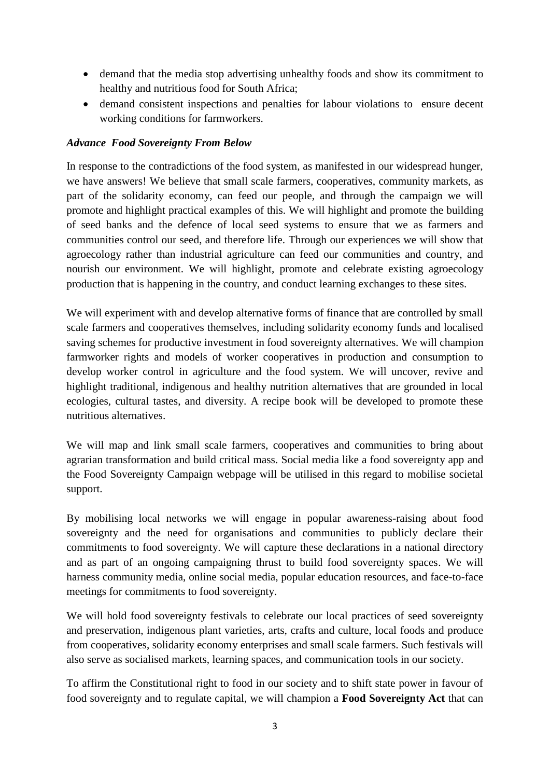- demand that the media stop advertising unhealthy foods and show its commitment to healthy and nutritious food for South Africa;
- demand consistent inspections and penalties for labour violations to ensure decent working conditions for farmworkers.

## *Advance Food Sovereignty From Below*

In response to the contradictions of the food system, as manifested in our widespread hunger, we have answers! We believe that small scale farmers, cooperatives, community markets, as part of the solidarity economy, can feed our people, and through the campaign we will promote and highlight practical examples of this. We will highlight and promote the building of seed banks and the defence of local seed systems to ensure that we as farmers and communities control our seed, and therefore life. Through our experiences we will show that agroecology rather than industrial agriculture can feed our communities and country, and nourish our environment. We will highlight, promote and celebrate existing agroecology production that is happening in the country, and conduct learning exchanges to these sites.

We will experiment with and develop alternative forms of finance that are controlled by small scale farmers and cooperatives themselves, including solidarity economy funds and localised saving schemes for productive investment in food sovereignty alternatives. We will champion farmworker rights and models of worker cooperatives in production and consumption to develop worker control in agriculture and the food system. We will uncover, revive and highlight traditional, indigenous and healthy nutrition alternatives that are grounded in local ecologies, cultural tastes, and diversity. A recipe book will be developed to promote these nutritious alternatives.

We will map and link small scale farmers, cooperatives and communities to bring about agrarian transformation and build critical mass. Social media like a food sovereignty app and the Food Sovereignty Campaign webpage will be utilised in this regard to mobilise societal support.

By mobilising local networks we will engage in popular awareness-raising about food sovereignty and the need for organisations and communities to publicly declare their commitments to food sovereignty. We will capture these declarations in a national directory and as part of an ongoing campaigning thrust to build food sovereignty spaces. We will harness community media, online social media, popular education resources, and face-to-face meetings for commitments to food sovereignty.

We will hold food sovereignty festivals to celebrate our local practices of seed sovereignty and preservation, indigenous plant varieties, arts, crafts and culture, local foods and produce from cooperatives, solidarity economy enterprises and small scale farmers. Such festivals will also serve as socialised markets, learning spaces, and communication tools in our society.

To affirm the Constitutional right to food in our society and to shift state power in favour of food sovereignty and to regulate capital, we will champion a **Food Sovereignty Act** that can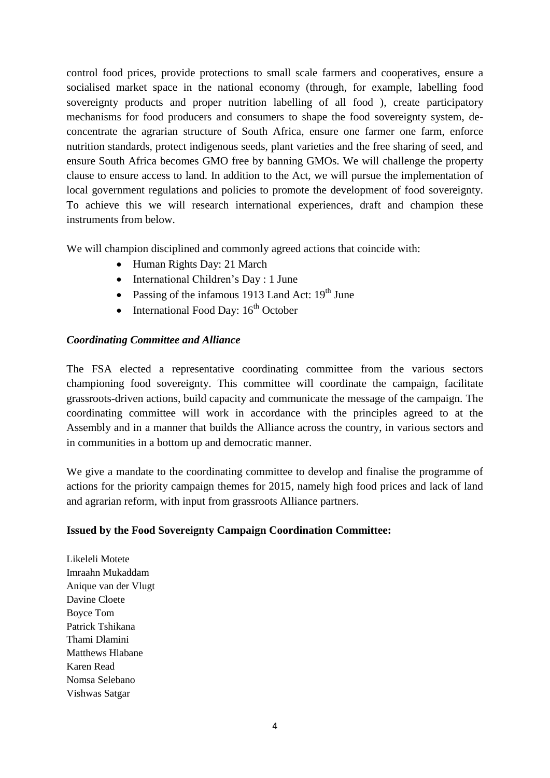control food prices, provide protections to small scale farmers and cooperatives, ensure a socialised market space in the national economy (through, for example, labelling food sovereignty products and proper nutrition labelling of all food ), create participatory mechanisms for food producers and consumers to shape the food sovereignty system, deconcentrate the agrarian structure of South Africa, ensure one farmer one farm, enforce nutrition standards, protect indigenous seeds, plant varieties and the free sharing of seed, and ensure South Africa becomes GMO free by banning GMOs. We will challenge the property clause to ensure access to land. In addition to the Act, we will pursue the implementation of local government regulations and policies to promote the development of food sovereignty. To achieve this we will research international experiences, draft and champion these instruments from below.

We will champion disciplined and commonly agreed actions that coincide with:

- Human Rights Day: 21 March
- International Children's Day : 1 June
- Passing of the infamous 1913 Land Act:  $19<sup>th</sup>$  June
- International Food Day:  $16<sup>th</sup>$  October

## *Coordinating Committee and Alliance*

The FSA elected a representative coordinating committee from the various sectors championing food sovereignty. This committee will coordinate the campaign, facilitate grassroots-driven actions, build capacity and communicate the message of the campaign. The coordinating committee will work in accordance with the principles agreed to at the Assembly and in a manner that builds the Alliance across the country, in various sectors and in communities in a bottom up and democratic manner.

We give a mandate to the coordinating committee to develop and finalise the programme of actions for the priority campaign themes for 2015, namely high food prices and lack of land and agrarian reform, with input from grassroots Alliance partners.

## **Issued by the Food Sovereignty Campaign Coordination Committee:**

Likeleli Motete Imraahn Mukaddam Anique van der Vlugt Davine Cloete Boyce Tom Patrick Tshikana Thami Dlamini Matthews Hlabane Karen Read Nomsa Selebano Vishwas Satgar